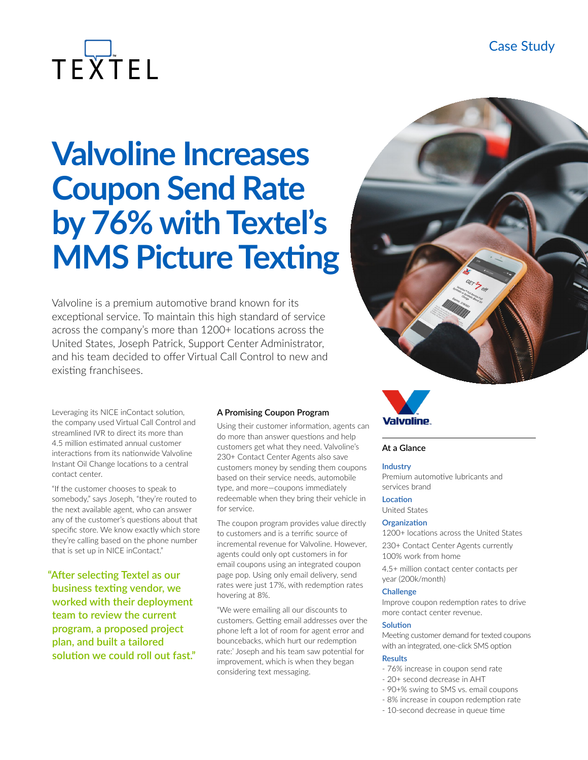# TEXTEL

# **Valvoline Increases Coupon Send Rate by 76% with Textel's MMS Picture Texting**

Valvoline is a premium automotive brand known for its exceptional service. To maintain this high standard of service across the company's more than 1200+ locations across the United States, Joseph Patrick, Support Center Administrator, and his team decided to offer Virtual Call Control to new and existing franchisees.

Leveraging its NICE inContact solution, the company used Virtual Call Control and streamlined IVR to direct its more than 4.5 million estimated annual customer interactions from its nationwide Valvoline Instant Oil Change locations to a central contact center.

"If the customer chooses to speak to somebody," says Joseph, "they're routed to the next available agent, who can answer any of the customer's questions about that specific store. We know exactly which store they're calling based on the phone number that is set up in NICE inContact."

**"After selecting Textel as our business texting vendor, we worked with their deployment team to review the current program, a proposed project plan, and built a tailored solution we could roll out fast."**

#### **A Promising Coupon Program**

Using their customer information, agents can do more than answer questions and help customers get what they need. Valvoline's 230+ Contact Center Agents also save customers money by sending them coupons based on their service needs, automobile type, and more—coupons immediately redeemable when they bring their vehicle in for service.

The coupon program provides value directly to customers and is a terrific source of incremental revenue for Valvoline. However, agents could only opt customers in for email coupons using an integrated coupon page pop. Using only email delivery, send rates were just 17%, with redemption rates hovering at 8%.

"We were emailing all our discounts to customers. Getting email addresses over the phone left a lot of room for agent error and bouncebacks, which hurt our redemption rate:' Joseph and his team saw potential for improvement, which is when they began considering text messaging.





#### **At a Glance**

#### **Industry**

Premium automotive lubricants and services brand

#### **Location**

United States

#### **Organization**

1200+ locations across the United States 230+ Contact Center Agents currently 100% work from home

4.5+ million contact center contacts per year (200k/month)

#### **Challenge**

Improve coupon redemption rates to drive more contact center revenue.

#### **Solution**

Meeting customer demand for texted coupons with an integrated, one-click SMS option

#### **Results**

- 76% increase in coupon send rate
- 20+ second decrease in AHT
- 90+% swing to SMS vs. email coupons
- 8% increase in coupon redemption rate
- 10-second decrease in queue time